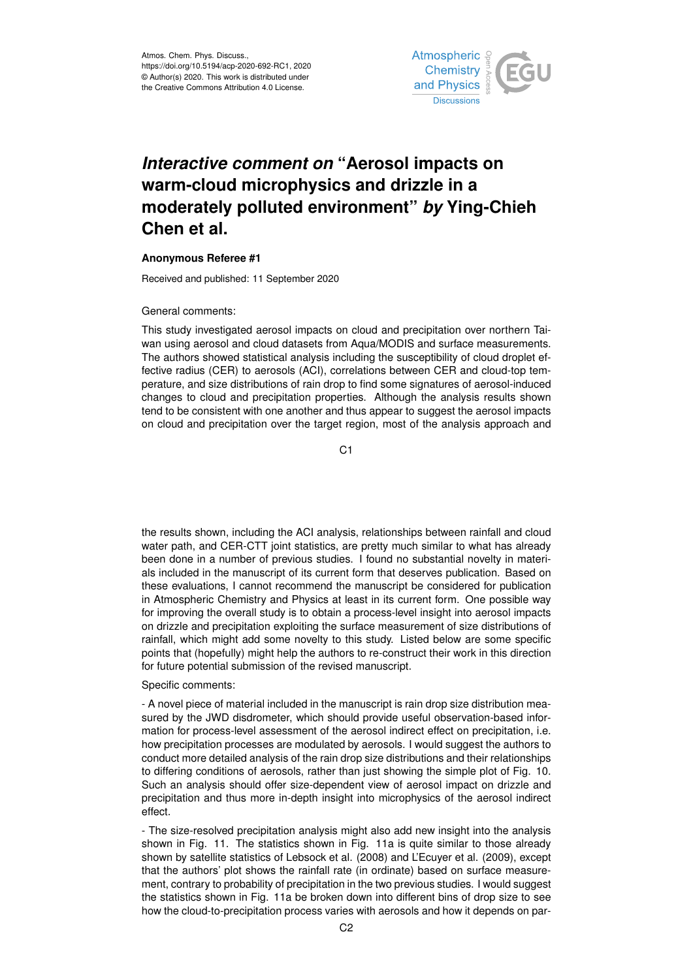

# *Interactive comment on* **"Aerosol impacts on warm-cloud microphysics and drizzle in a moderately polluted environment"** *by* **Ying-Chieh Chen et al.**

### **Anonymous Referee #1**

Received and published: 11 September 2020

#### General comments:

This study investigated aerosol impacts on cloud and precipitation over northern Taiwan using aerosol and cloud datasets from Aqua/MODIS and surface measurements. The authors showed statistical analysis including the susceptibility of cloud droplet effective radius (CER) to aerosols (ACI), correlations between CER and cloud-top temperature, and size distributions of rain drop to find some signatures of aerosol-induced changes to cloud and precipitation properties. Although the analysis results shown tend to be consistent with one another and thus appear to suggest the aerosol impacts on cloud and precipitation over the target region, most of the analysis approach and

 $C<sub>1</sub>$ 

the results shown, including the ACI analysis, relationships between rainfall and cloud water path, and CER-CTT joint statistics, are pretty much similar to what has already been done in a number of previous studies. I found no substantial novelty in materials included in the manuscript of its current form that deserves publication. Based on these evaluations, I cannot recommend the manuscript be considered for publication in Atmospheric Chemistry and Physics at least in its current form. One possible way for improving the overall study is to obtain a process-level insight into aerosol impacts on drizzle and precipitation exploiting the surface measurement of size distributions of rainfall, which might add some novelty to this study. Listed below are some specific points that (hopefully) might help the authors to re-construct their work in this direction for future potential submission of the revised manuscript.

#### Specific comments:

- A novel piece of material included in the manuscript is rain drop size distribution measured by the JWD disdrometer, which should provide useful observation-based information for process-level assessment of the aerosol indirect effect on precipitation, i.e. how precipitation processes are modulated by aerosols. I would suggest the authors to conduct more detailed analysis of the rain drop size distributions and their relationships to differing conditions of aerosols, rather than just showing the simple plot of Fig. 10. Such an analysis should offer size-dependent view of aerosol impact on drizzle and precipitation and thus more in-depth insight into microphysics of the aerosol indirect effect.

- The size-resolved precipitation analysis might also add new insight into the analysis shown in Fig. 11. The statistics shown in Fig. 11a is quite similar to those already shown by satellite statistics of Lebsock et al. (2008) and L'Ecuyer et al. (2009), except that the authors' plot shows the rainfall rate (in ordinate) based on surface measurement, contrary to probability of precipitation in the two previous studies. I would suggest the statistics shown in Fig. 11a be broken down into different bins of drop size to see how the cloud-to-precipitation process varies with aerosols and how it depends on par